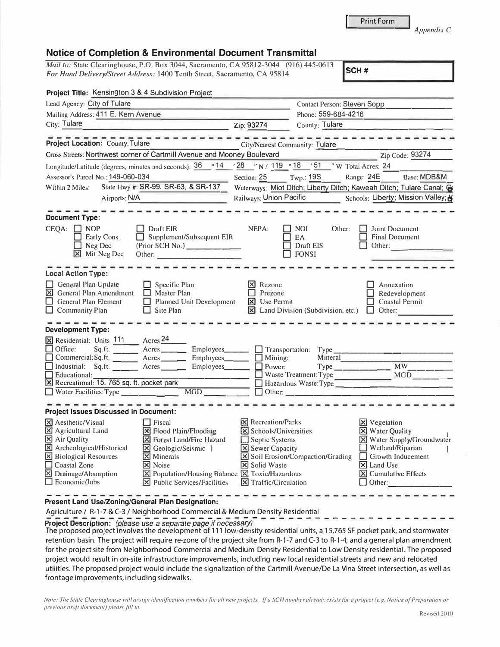| Print Form |
|------------|

*Appendix C* 

## **Notice of Completion & Environmental Document Transmittal**

*Mail to: State Clearinghouse, P.O. Box 3044, Sacramento, CA 95812-3044* (916) 445-0613 *For Hand Delivery/Street Address:* 1400 Tenth Street, Sacramento, CA 95814

| Project Title: Kensington 3 & 4 Subdivision Project                                                                                                                                                                                                                                                                                                                                                                                                                           |                                                                                                                                                             |                                                             |                                                                                                                                                                                                                           |
|-------------------------------------------------------------------------------------------------------------------------------------------------------------------------------------------------------------------------------------------------------------------------------------------------------------------------------------------------------------------------------------------------------------------------------------------------------------------------------|-------------------------------------------------------------------------------------------------------------------------------------------------------------|-------------------------------------------------------------|---------------------------------------------------------------------------------------------------------------------------------------------------------------------------------------------------------------------------|
| Lead Agency: City of Tulare                                                                                                                                                                                                                                                                                                                                                                                                                                                   |                                                                                                                                                             | <b>Contact Person: Steven Sopp</b>                          |                                                                                                                                                                                                                           |
| Mailing Address: 411 E. Kern Avenue                                                                                                                                                                                                                                                                                                                                                                                                                                           | Phone: 559-684-4216                                                                                                                                         |                                                             |                                                                                                                                                                                                                           |
| City: Tulare<br><u> 1989 - Johann John Stone, mars eta politikar</u>                                                                                                                                                                                                                                                                                                                                                                                                          | Zip: 93274                                                                                                                                                  | County: Tulare                                              |                                                                                                                                                                                                                           |
| Project Location: County: Tulare                                                                                                                                                                                                                                                                                                                                                                                                                                              |                                                                                                                                                             | <b>City/Nearest Community: Tulare</b>                       |                                                                                                                                                                                                                           |
| Cross Streets: Northwest corner of Cartmill Avenue and Mooney Boulevard                                                                                                                                                                                                                                                                                                                                                                                                       |                                                                                                                                                             | the company of the company of the company                   | Zip Code: 93274                                                                                                                                                                                                           |
|                                                                                                                                                                                                                                                                                                                                                                                                                                                                               |                                                                                                                                                             | '28 "N / 119 .18 '51 "W Total Acres: 24                     |                                                                                                                                                                                                                           |
| Assessor's Parcel No.: 149-060-034                                                                                                                                                                                                                                                                                                                                                                                                                                            |                                                                                                                                                             | Section: $25$ Twp.: 19S                                     | Range: 24E Base: MDB&M                                                                                                                                                                                                    |
| State Hwy #: SR-99, SR-63, & SR-137<br>Within 2 Miles:                                                                                                                                                                                                                                                                                                                                                                                                                        | Waterways: Miot Ditch; Liberty Ditch; Kaweah Ditch; Tulare Canal; &                                                                                         |                                                             |                                                                                                                                                                                                                           |
| Airports: N/A<br><u> 1999 - Johann John Hermer (</u>                                                                                                                                                                                                                                                                                                                                                                                                                          | Railways: Union Pacific<br>Schools: Liberty; Mission Valley; K                                                                                              |                                                             |                                                                                                                                                                                                                           |
| <b>Document Type:</b><br>$CEQA: \Box NP$<br>Draft EIR<br>Supplement/Subsequent EIR<br>Early Cons<br>$\Box$<br>$\Box$ Neg Dec<br>(Prior SCH No.)<br>$\boxtimes$ Mit Neg Dec<br>Other:                                                                                                                                                                                                                                                                                          | NEPA:                                                                                                                                                       | <b>NOI</b><br>Other:<br>EA<br>Draft EIS<br>$\Box$ FONSI     | Joint Document<br><b>Final Document</b><br>$\Box$ Other:                                                                                                                                                                  |
| <b>Local Action Type:</b>                                                                                                                                                                                                                                                                                                                                                                                                                                                     |                                                                                                                                                             |                                                             |                                                                                                                                                                                                                           |
| General Plan Update<br>$\Box$<br>Specific Plan<br><b>X</b> General Plan Amendment<br><b>Naster Plan</b><br><b>General Plan Element</b><br>$\Box$ Planned Unit Development<br>$\Box$ Community Plan<br>$\Box$ Site Plan                                                                                                                                                                                                                                                        | $\vert$ <b>X</b> Rezone<br>$\Box$ Prezone<br><b>X</b> Use Permit                                                                                            | $\boxtimes$ Land Division (Subdivision, etc.) $\Box$ Other: | Annexation<br>Redevelopment<br><b>Coastal Permit</b>                                                                                                                                                                      |
| <b>Development Type:</b><br>X Residential: Units 111 Acres 24<br>$Sq.ft.$ Acres<br>$\Box$ Office:<br>Commercial:Sq.ft. _____ Acres_____<br>Employees_____<br>Industrial: Sq.ft. ______ Acres ______ Employees_____<br>$\Box$ Educational:<br>X Recreational: 15, 765 sq. ft. pocket park<br>$\Box$ Water Facilities: Type<br>MGD                                                                                                                                              | Mining:<br>$\Box$ Power:                                                                                                                                    | Mineral<br>$\Box$ Other:                                    | $Type$ $MW$<br>Hazardous Waste: Type                                                                                                                                                                                      |
| <b>Project Issues Discussed in Document:</b>                                                                                                                                                                                                                                                                                                                                                                                                                                  |                                                                                                                                                             |                                                             |                                                                                                                                                                                                                           |
| $\Box$ Fiscal<br>X Aesthetic/Visual<br><b>X</b> Agricultural Land<br>X Flood Plain/Flooding<br>$\boxed{\times}$ Air Quality<br>X Forest Land/Fire Hazard<br>X Archeological/Historical<br>S Geologic/Seismic  <br><b>X</b> Biological Resources<br><b>X</b> Minerals<br>Coastal Zone<br><b>X</b> Noise<br>Drainage/Absorption<br>$\boxtimes$ Population/Housing Balance $\boxtimes$ Toxic/Hazardous<br>$\Box$ Economic/Jobs<br>$ \mathbf{\nabla} $ Public Services/Facilities | <b>X</b> Recreation/Parks<br>X Schools/Universities<br>Septic Systems<br><b>X</b> Sewer Capacity<br><b>X</b> Solid Waste<br>$\boxtimes$ Traffic/Circulation | <b>X</b> Soil Erosion/Compaction/Grading                    | <b>X</b> Vegetation<br>X Water Quality<br>X Water Supply/Groundwater<br>$\Box$ Wetland/Riparian<br>$\Box$ Growth Inducement<br>$\triangleright$ Land Use<br>$ \mathbf{\overline{X}} $ Cumulative Effects<br>$\Box$ Other: |

## **Present Land Use/Zoning/General Plan Designation:**

Agriculture / R-1-7 & C-3 / Neighborhood Commercial & Medium Density Residential

Project Description: *(please use a separate page if necessary)* 

The proposed project involves the development of 111 low-density residential units, a 15,765 SF pocket park, and stormwater retention basin. The project will require re-zone of the project site from R-1-7 and C-3 to R-1-4, and a general plan amendment for the project site from Neighborhood Commercial and Medium Density Residential to Low Density residential. The proposed project would result in on-site infrastructure improvements, including new local residential streets and new and relocated utilities. The proposed project would include the signalization of the Cartmill Avenue/De La Vina Street intersection, as well as frontage improvements, including sidewalks.

*Note: The State Clearinghouse will assign identification numbers for all new projects. If a SCH number already exists for a project (e.g. Notice of Preparation or previous draft document) please fill in.*